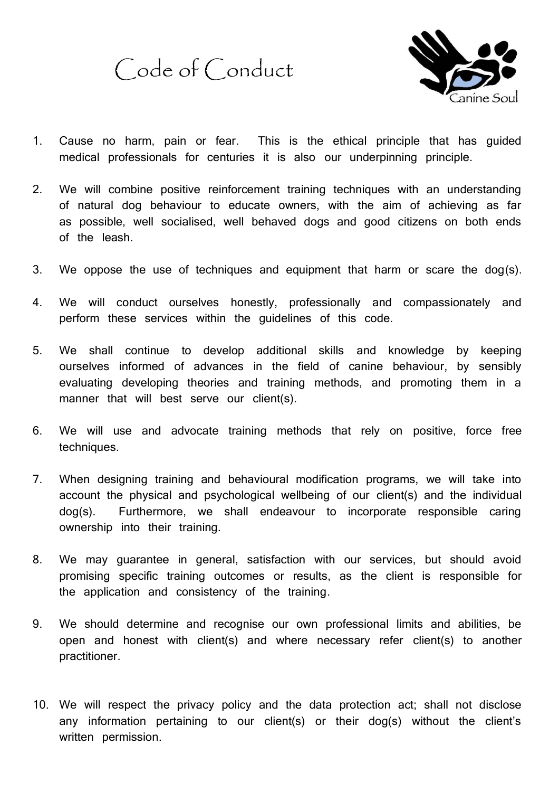Code of Conduct



- 1. Cause no harm, pain or fear. This is the ethical principle that has guided medical professionals for centuries it is also our underpinning principle.
- 2. We will combine positive reinforcement training techniques with an understanding of natural dog behaviour to educate owners, with the aim of achieving as far as possible, well socialised, well behaved dogs and good citizens on both ends of the leash.
- 3. We oppose the use of techniques and equipment that harm or scare the dog(s).
- 4. We will conduct ourselves honestly, professionally and compassionately and perform these services within the guidelines of this code.
- 5. We shall continue to develop additional skills and knowledge by keeping ourselves informed of advances in the field of canine behaviour, by sensibly evaluating developing theories and training methods, and promoting them in a manner that will best serve our client(s).
- 6. We will use and advocate training methods that rely on positive, force free techniques.
- 7. When designing training and behavioural modification programs, we will take into account the physical and psychological wellbeing of our client(s) and the individual dog(s). Furthermore, we shall endeavour to incorporate responsible caring ownership into their training.
- 8. We may guarantee in general, satisfaction with our services, but should avoid promising specific training outcomes or results, as the client is responsible for the application and consistency of the training.
- 9. We should determine and recognise our own professional limits and abilities, be open and honest with client(s) and where necessary refer client(s) to another practitioner.
- 10. We will respect the privacy policy and the data protection act; shall not disclose any information pertaining to our client(s) or their dog(s) without the client's written permission.